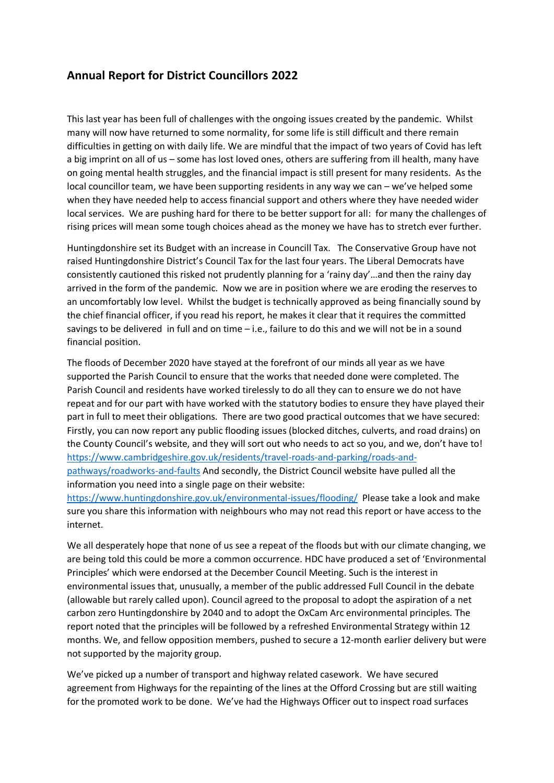## **Annual Report for District Councillors 2022**

This last year has been full of challenges with the ongoing issues created by the pandemic. Whilst many will now have returned to some normality, for some life is still difficult and there remain difficulties in getting on with daily life. We are mindful that the impact of two years of Covid has left a big imprint on all of us – some has lost loved ones, others are suffering from ill health, many have on going mental health struggles, and the financial impact is still present for many residents. As the local councillor team, we have been supporting residents in any way we can – we've helped some when they have needed help to access financial support and others where they have needed wider local services. We are pushing hard for there to be better support for all: for many the challenges of rising prices will mean some tough choices ahead as the money we have has to stretch ever further.

Huntingdonshire set its Budget with an increase in Councill Tax. The Conservative Group have not raised Huntingdonshire District's Council Tax for the last four years. The Liberal Democrats have consistently cautioned this risked not prudently planning for a 'rainy day'…and then the rainy day arrived in the form of the pandemic. Now we are in position where we are eroding the reserves to an uncomfortably low level. Whilst the budget is technically approved as being financially sound by the chief financial officer, if you read his report, he makes it clear that it requires the committed savings to be delivered in full and on time – i.e., failure to do this and we will not be in a sound financial position.

The floods of December 2020 have stayed at the forefront of our minds all year as we have supported the Parish Council to ensure that the works that needed done were completed. The Parish Council and residents have worked tirelessly to do all they can to ensure we do not have repeat and for our part with have worked with the statutory bodies to ensure they have played their part in full to meet their obligations. There are two good practical outcomes that we have secured: Firstly, you can now report any public flooding issues (blocked ditches, culverts, and road drains) on the County Council's website, and they will sort out who needs to act so you, and we, don't have to! [https://www.cambridgeshire.gov.uk/residents/travel-roads-and-parking/roads-and](https://www.cambridgeshire.gov.uk/residents/travel-roads-and-parking/roads-and-pathways/roadworks-and-faults)[pathways/roadworks-and-faults](https://www.cambridgeshire.gov.uk/residents/travel-roads-and-parking/roads-and-pathways/roadworks-and-faults) And secondly, the District Council website have pulled all the information you need into a single page on their website:

<https://www.huntingdonshire.gov.uk/environmental-issues/flooding/>Please take a look and make sure you share this information with neighbours who may not read this report or have access to the internet.

We all desperately hope that none of us see a repeat of the floods but with our climate changing, we are being told this could be more a common occurrence. HDC have produced a set of 'Environmental Principles' which were endorsed at the December Council Meeting. Such is the interest in environmental issues that, unusually, a member of the public addressed Full Council in the debate (allowable but rarely called upon). Council agreed to the proposal to adopt the aspiration of a net carbon zero Huntingdonshire by 2040 and to adopt the OxCam Arc environmental principles. The report noted that the principles will be followed by a refreshed Environmental Strategy within 12 months. We, and fellow opposition members, pushed to secure a 12-month earlier delivery but were not supported by the majority group.

We've picked up a number of transport and highway related casework. We have secured agreement from Highways for the repainting of the lines at the Offord Crossing but are still waiting for the promoted work to be done. We've had the Highways Officer out to inspect road surfaces